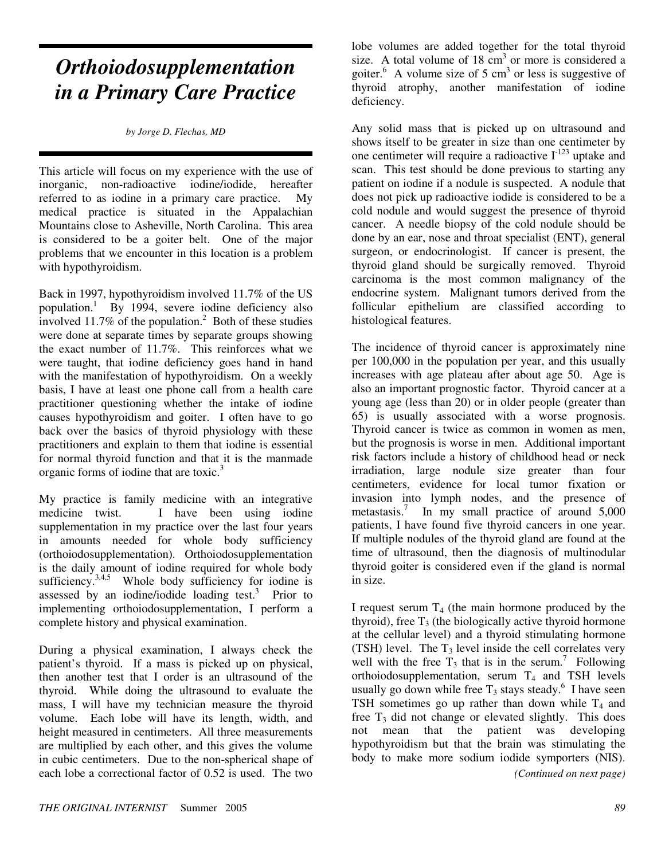## *Orthoiodosupplementation in a Primary Care Practice*

*by Jorge D. Flechas, MD*

This article will focus on my experience with the use of inorganic, non-radioactive iodine/iodide, hereafter referred to as iodine in a primary care practice. My medical practice is situated in the Appalachian Mountains close to Asheville, North Carolina. This area is considered to be a goiter belt. One of the major problems that we encounter in this location is a problem with hypothyroidism.

Back in 1997, hypothyroidism involved 11.7% of the US population.<sup>1</sup> By 1994, severe iodine deficiency also involved 11.7% of the population.<sup>2</sup> Both of these studies were done at separate times by separate groups showing the exact number of 11.7%. This reinforces what we were taught, that iodine deficiency goes hand in hand with the manifestation of hypothyroidism. On a weekly basis, I have at least one phone call from a health care practitioner questioning whether the intake of iodine causes hypothyroidism and goiter. I often have to go back over the basics of thyroid physiology with these practitioners and explain to them that iodine is essential for normal thyroid function and that it is the manmade organic forms of iodine that are toxic.<sup>3</sup>

My practice is family medicine with an integrative medicine twist. I have been using iodine supplementation in my practice over the last four years in amounts needed for whole body sufficiency (orthoiodosupplementation). Orthoiodosupplementation is the daily amount of iodine required for whole body sufficiency.<sup>3,4,5</sup> Whole body sufficiency for iodine is assessed by an iodine/iodide loading test. $3$  Prior to implementing orthoiodosupplementation, I perform a complete history and physical examination.

During a physical examination, I always check the patient's thyroid. If a mass is picked up on physical, then another test that I order is an ultrasound of the thyroid. While doing the ultrasound to evaluate the mass, I will have my technician measure the thyroid volume. Each lobe will have its length, width, and height measured in centimeters. All three measurements are multiplied by each other, and this gives the volume in cubic centimeters. Due to the non-spherical shape of each lobe a correctional factor of 0.52 is used. The two

lobe volumes are added together for the total thyroid size. A total volume of  $18 \text{ cm}^3$  or more is considered a goiter.<sup>6</sup> A volume size of 5 cm<sup>3</sup> or less is suggestive of thyroid atrophy, another manifestation of iodine deficiency.

Any solid mass that is picked up on ultrasound and shows itself to be greater in size than one centimeter by one centimeter will require a radioactive  $I^{-123}$  uptake and scan. This test should be done previous to starting any patient on iodine if a nodule is suspected. A nodule that does not pick up radioactive iodide is considered to be a cold nodule and would suggest the presence of thyroid cancer. A needle biopsy of the cold nodule should be done by an ear, nose and throat specialist (ENT), general surgeon, or endocrinologist. If cancer is present, the thyroid gland should be surgically removed. Thyroid carcinoma is the most common malignancy of the endocrine system. Malignant tumors derived from the follicular epithelium are classified according to histological features.

The incidence of thyroid cancer is approximately nine per 100,000 in the population per year, and this usually increases with age plateau after about age 50. Age is also an important prognostic factor. Thyroid cancer at a young age (less than 20) or in older people (greater than 65) is usually associated with a worse prognosis. Thyroid cancer is twice as common in women as men, but the prognosis is worse in men. Additional important risk factors include a history of childhood head or neck irradiation, large nodule size greater than four centimeters, evidence for local tumor fixation or invasion into lymph nodes, and the presence of metastasis.<sup>7</sup> In my small practice of around 5,000 patients, I have found five thyroid cancers in one year. If multiple nodules of the thyroid gland are found at the time of ultrasound, then the diagnosis of multinodular thyroid goiter is considered even if the gland is normal in size.

I request serum  $T_4$  (the main hormone produced by the thyroid), free  $T_3$  (the biologically active thyroid hormone at the cellular level) and a thyroid stimulating hormone (TSH) level. The  $T_3$  level inside the cell correlates very well with the free  $T_3$  that is in the serum.<sup>7</sup> Following orthoiodosupplementation, serum  $T_4$  and TSH levels usually go down while free  $T_3$  stays steady.<sup>6</sup> I have seen TSH sometimes go up rather than down while  $T_4$  and free  $T_3$  did not change or elevated slightly. This does not mean that the patient was developing hypothyroidism but that the brain was stimulating the body to make more sodium iodide symporters (NIS).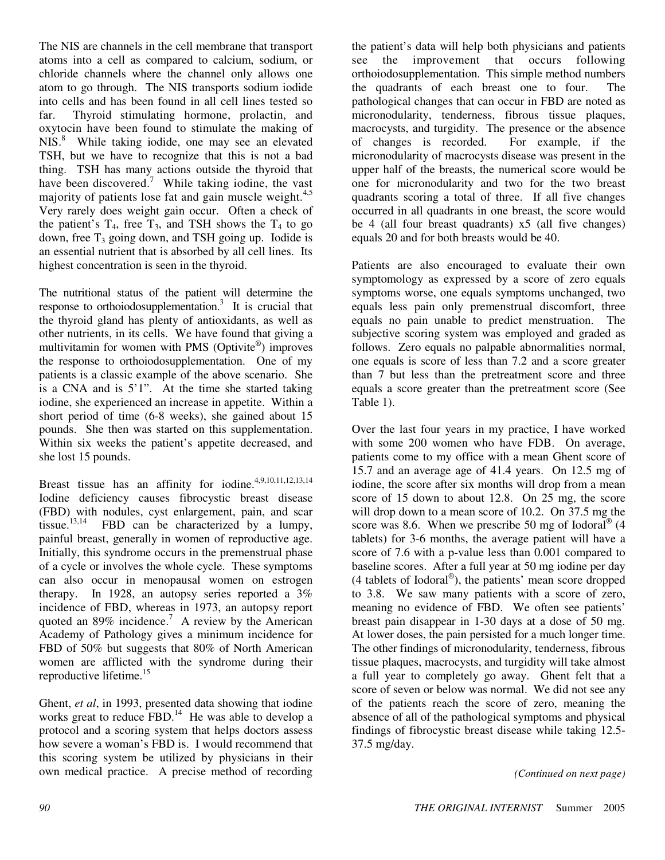The NIS are channels in the cell membrane that transport atoms into a cell as compared to calcium, sodium, or chloride channels where the channel only allows one atom to go through. The NIS transports sodium iodide into cells and has been found in all cell lines tested so far. Thyroid stimulating hormone, prolactin, and oxytocin have been found to stimulate the making of NIS.<sup>8</sup> While taking iodide, one may see an elevated TSH, but we have to recognize that this is not a bad thing. TSH has many actions outside the thyroid that have been discovered.<sup>7</sup> While taking iodine, the vast majority of patients lose fat and gain muscle weight.<sup>4,5</sup> Very rarely does weight gain occur. Often a check of the patient's  $T_4$ , free  $T_3$ , and TSH shows the  $T_4$  to go down, free  $T_3$  going down, and TSH going up. Iodide is an essential nutrient that is absorbed by all cell lines. Its highest concentration is seen in the thyroid.

The nutritional status of the patient will determine the response to orthoiodosupplementation.<sup>3</sup> It is crucial that the thyroid gland has plenty of antioxidants, as well as other nutrients, in its cells. We have found that giving a multivitamin for women with PMS (Optivite®) improves the response to orthoiodosupplementation. One of my patients is a classic example of the above scenario. She is a CNA and is 5'1". At the time she started taking iodine, she experienced an increase in appetite. Within a short period of time (6-8 weeks), she gained about 15 pounds. She then was started on this supplementation. Within six weeks the patient's appetite decreased, and she lost 15 pounds.

Breast tissue has an affinity for iodine.<sup>4,9,10,11,12,13,14</sup> Iodine deficiency causes fibrocystic breast disease (FBD) with nodules, cyst enlargement, pain, and scar tissue.<sup>13,14</sup> FBD can be characterized by a lumpy. FBD can be characterized by a lumpy, painful breast, generally in women of reproductive age. Initially, this syndrome occurs in the premenstrual phase of a cycle or involves the whole cycle. These symptoms can also occur in menopausal women on estrogen therapy. In 1928, an autopsy series reported a 3% incidence of FBD, whereas in 1973, an autopsy report quoted an 89% incidence.<sup>7</sup> A review by the American Academy of Pathology gives a minimum incidence for FBD of 50% but suggests that 80% of North American women are afflicted with the syndrome during their reproductive lifetime.<sup>15</sup>

Ghent, *et al*, in 1993, presented data showing that iodine works great to reduce  $FBD$ .<sup>14</sup> He was able to develop a protocol and a scoring system that helps doctors assess how severe a woman's FBD is. I would recommend that this scoring system be utilized by physicians in their own medical practice. A precise method of recording

the patient's data will help both physicians and patients see the improvement that occurs following orthoiodosupplementation. This simple method numbers the quadrants of each breast one to four. The pathological changes that can occur in FBD are noted as micronodularity, tenderness, fibrous tissue plaques, macrocysts, and turgidity. The presence or the absence of changes is recorded. For example, if the micronodularity of macrocysts disease was present in the upper half of the breasts, the numerical score would be one for micronodularity and two for the two breast quadrants scoring a total of three. If all five changes occurred in all quadrants in one breast, the score would be 4 (all four breast quadrants) x5 (all five changes) equals 20 and for both breasts would be 40.

Patients are also encouraged to evaluate their own symptomology as expressed by a score of zero equals symptoms worse, one equals symptoms unchanged, two equals less pain only premenstrual discomfort, three equals no pain unable to predict menstruation. The subjective scoring system was employed and graded as follows. Zero equals no palpable abnormalities normal, one equals is score of less than 7.2 and a score greater than 7 but less than the pretreatment score and three equals a score greater than the pretreatment score (See Table 1).

Over the last four years in my practice, I have worked with some 200 women who have FDB. On average, patients come to my office with a mean Ghent score of 15.7 and an average age of 41.4 years. On 12.5 mg of iodine, the score after six months will drop from a mean score of 15 down to about 12.8. On 25 mg, the score will drop down to a mean score of 10.2. On 37.5 mg the score was 8.6. When we prescribe 50 mg of Iodoral<sup>®</sup> (4 tablets) for 3-6 months, the average patient will have a score of 7.6 with a p-value less than 0.001 compared to baseline scores. After a full year at 50 mg iodine per day (4 tablets of Iodoral® ), the patients' mean score dropped to 3.8. We saw many patients with a score of zero, meaning no evidence of FBD. We often see patients' breast pain disappear in 1-30 days at a dose of 50 mg. At lower doses, the pain persisted for a much longer time. The other findings of micronodularity, tenderness, fibrous tissue plaques, macrocysts, and turgidity will take almost a full year to completely go away. Ghent felt that a score of seven or below was normal. We did not see any of the patients reach the score of zero, meaning the absence of all of the pathological symptoms and physical findings of fibrocystic breast disease while taking 12.5- 37.5 mg/day.

*(Continued on next page)*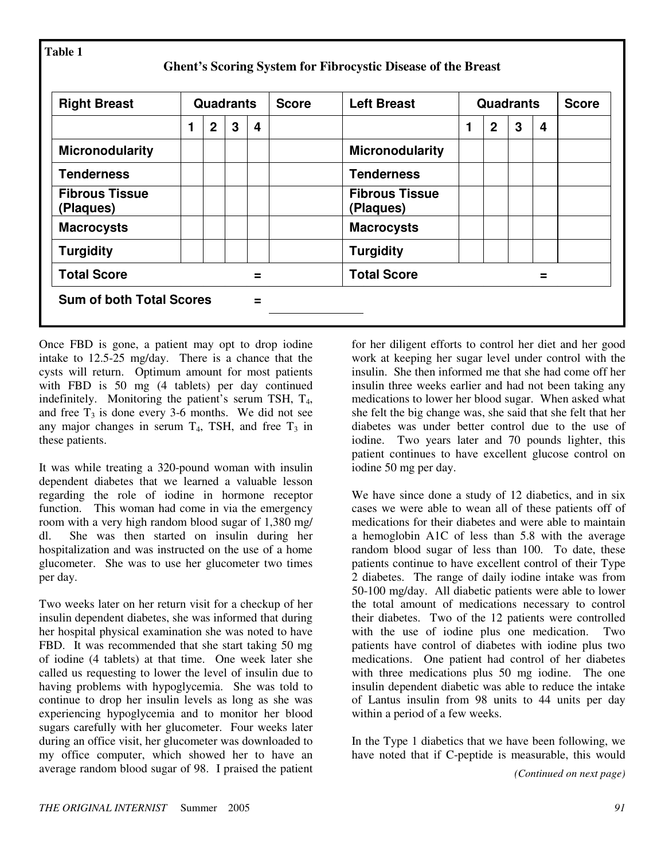| <b>Right Breast</b>                | <b>Quadrants</b> |                |   |   | <b>Score</b> | <b>Left Breast</b>                 | <b>Quadrants</b> |             |   |   | <b>Score</b> |
|------------------------------------|------------------|----------------|---|---|--------------|------------------------------------|------------------|-------------|---|---|--------------|
|                                    |                  | $\overline{2}$ | 3 | 4 |              |                                    | 1                | $\mathbf 2$ | 3 | 4 |              |
| <b>Micronodularity</b>             |                  |                |   |   |              | <b>Micronodularity</b>             |                  |             |   |   |              |
| <b>Tenderness</b>                  |                  |                |   |   |              | <b>Tenderness</b>                  |                  |             |   |   |              |
| <b>Fibrous Tissue</b><br>(Plaques) |                  |                |   |   |              | <b>Fibrous Tissue</b><br>(Plaques) |                  |             |   |   |              |
| <b>Macrocysts</b>                  |                  |                |   |   |              | <b>Macrocysts</b>                  |                  |             |   |   |              |
| <b>Turgidity</b>                   |                  |                |   |   |              | <b>Turgidity</b>                   |                  |             |   |   |              |
| <b>Total Score</b>                 |                  |                |   |   |              | <b>Total Score</b>                 |                  |             |   |   |              |

Once FBD is gone, a patient may opt to drop iodine intake to 12.5-25 mg/day. There is a chance that the cysts will return. Optimum amount for most patients with FBD is 50 mg (4 tablets) per day continued indefinitely. Monitoring the patient's serum TSH,  $T_4$ , and free  $T_3$  is done every 3-6 months. We did not see any major changes in serum  $T_4$ , TSH, and free  $T_3$  in these patients.

It was while treating a 320-pound woman with insulin dependent diabetes that we learned a valuable lesson regarding the role of iodine in hormone receptor function. This woman had come in via the emergency room with a very high random blood sugar of 1,380 mg/ dl. She was then started on insulin during her hospitalization and was instructed on the use of a home glucometer. She was to use her glucometer two times per day.

Two weeks later on her return visit for a checkup of her insulin dependent diabetes, she was informed that during her hospital physical examination she was noted to have FBD. It was recommended that she start taking 50 mg of iodine (4 tablets) at that time. One week later she called us requesting to lower the level of insulin due to having problems with hypoglycemia. She was told to continue to drop her insulin levels as long as she was experiencing hypoglycemia and to monitor her blood sugars carefully with her glucometer. Four weeks later during an office visit, her glucometer was downloaded to my office computer, which showed her to have an average random blood sugar of 98. I praised the patient

for her diligent efforts to control her diet and her good work at keeping her sugar level under control with the insulin. She then informed me that she had come off her insulin three weeks earlier and had not been taking any medications to lower her blood sugar. When asked what she felt the big change was, she said that she felt that her diabetes was under better control due to the use of iodine. Two years later and 70 pounds lighter, this patient continues to have excellent glucose control on iodine 50 mg per day.

We have since done a study of 12 diabetics, and in six cases we were able to wean all of these patients off of medications for their diabetes and were able to maintain a hemoglobin A1C of less than 5.8 with the average random blood sugar of less than 100. To date, these patients continue to have excellent control of their Type 2 diabetes. The range of daily iodine intake was from 50-100 mg/day. All diabetic patients were able to lower the total amount of medications necessary to control their diabetes. Two of the 12 patients were controlled with the use of iodine plus one medication. Two patients have control of diabetes with iodine plus two medications. One patient had control of her diabetes with three medications plus 50 mg iodine. The one insulin dependent diabetic was able to reduce the intake of Lantus insulin from 98 units to 44 units per day within a period of a few weeks.

In the Type 1 diabetics that we have been following, we have noted that if C-peptide is measurable, this would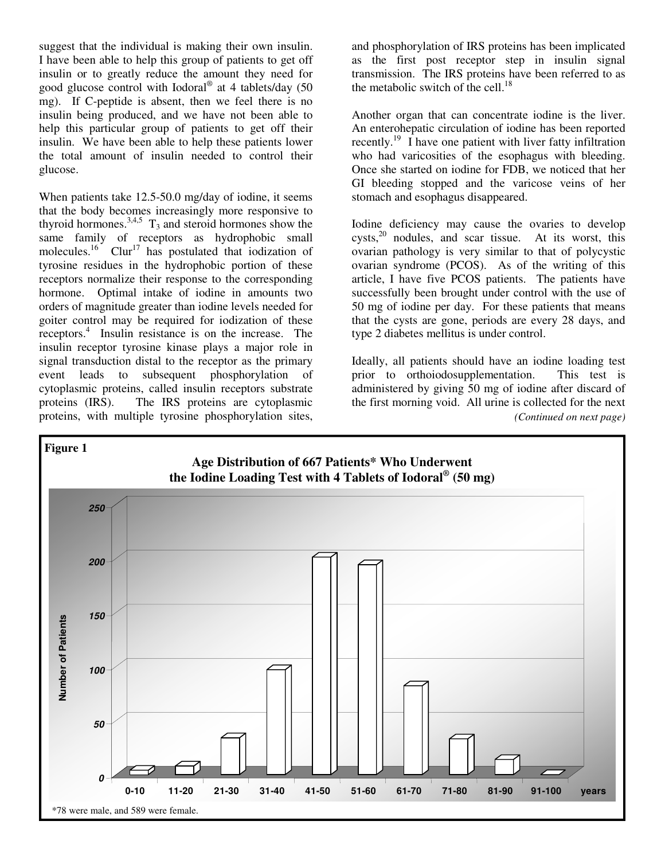suggest that the individual is making their own insulin. I have been able to help this group of patients to get off insulin or to greatly reduce the amount they need for good glucose control with Iodoral® at 4 tablets/day (50 mg). If C-peptide is absent, then we feel there is no insulin being produced, and we have not been able to help this particular group of patients to get off their insulin. We have been able to help these patients lower the total amount of insulin needed to control their glucose.

When patients take 12.5-50.0 mg/day of iodine, it seems that the body becomes increasingly more responsive to thyroid hormones.<sup>3,4,5</sup>  $T_3$  and steroid hormones show the same family of receptors as hydrophobic small molecules.<sup>16</sup> Clur<sup>17</sup> has postulated that iodization of tyrosine residues in the hydrophobic portion of these receptors normalize their response to the corresponding hormone. Optimal intake of iodine in amounts two orders of magnitude greater than iodine levels needed for goiter control may be required for iodization of these receptors.<sup>4</sup> Insulin resistance is on the increase. The insulin receptor tyrosine kinase plays a major role in signal transduction distal to the receptor as the primary event leads to subsequent phosphorylation of cytoplasmic proteins, called insulin receptors substrate proteins (IRS). The IRS proteins are cytoplasmic proteins, with multiple tyrosine phosphorylation sites,

and phosphorylation of IRS proteins has been implicated as the first post receptor step in insulin signal transmission. The IRS proteins have been referred to as the metabolic switch of the cell.<sup>18</sup>

Another organ that can concentrate iodine is the liver. An enterohepatic circulation of iodine has been reported recently.<sup>19</sup> I have one patient with liver fatty infiltration who had varicosities of the esophagus with bleeding. Once she started on iodine for FDB, we noticed that her GI bleeding stopped and the varicose veins of her stomach and esophagus disappeared.

Iodine deficiency may cause the ovaries to develop  $cysts<sub>1</sub><sup>20</sup>$  nodules, and scar tissue. At its worst, this ovarian pathology is very similar to that of polycystic ovarian syndrome (PCOS). As of the writing of this article, I have five PCOS patients. The patients have successfully been brought under control with the use of 50 mg of iodine per day. For these patients that means that the cysts are gone, periods are every 28 days, and type 2 diabetes mellitus is under control.

Ideally, all patients should have an iodine loading test prior to orthoiodosupplementation. This test is administered by giving 50 mg of iodine after discard of the first morning void. All urine is collected for the next *(Continued on next page)* 

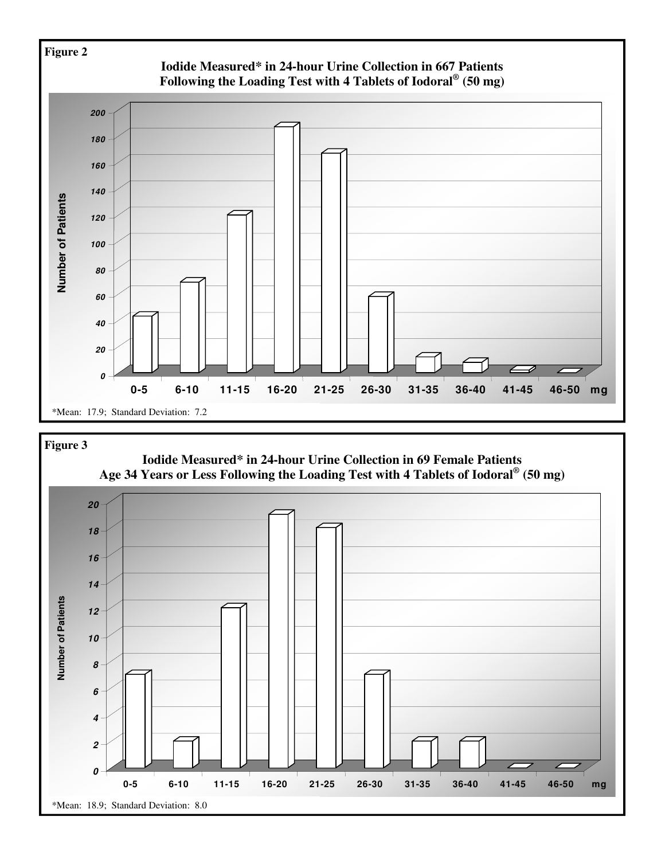

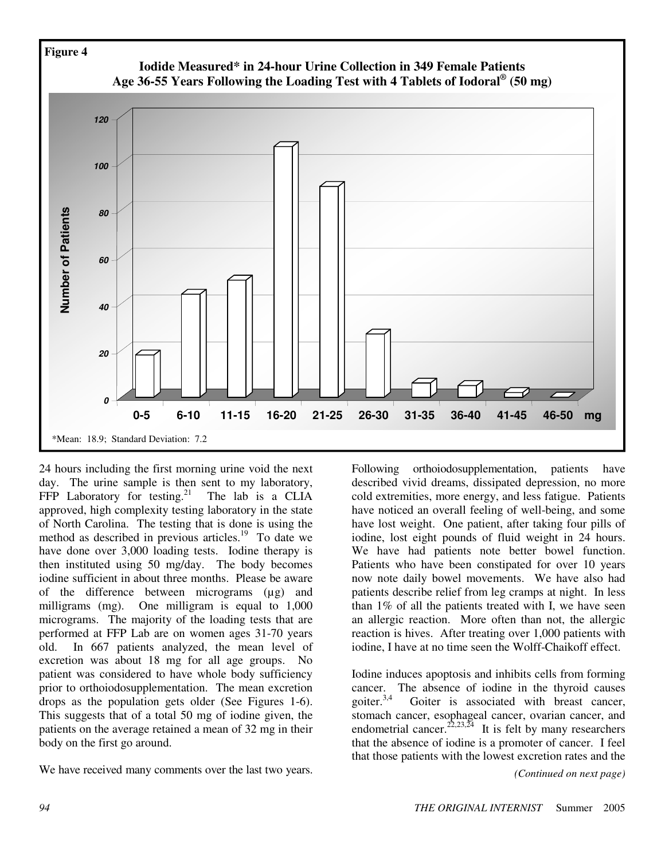

24 hours including the first morning urine void the next day. The urine sample is then sent to my laboratory, FFP Laboratory for testing.<sup>21</sup> The lab is a CLIA approved, high complexity testing laboratory in the state of North Carolina. The testing that is done is using the method as described in previous articles. $19$  To date we have done over 3,000 loading tests. Iodine therapy is then instituted using 50 mg/day. The body becomes iodine sufficient in about three months. Please be aware of the difference between micrograms (µg) and milligrams (mg). One milligram is equal to 1,000 micrograms. The majority of the loading tests that are performed at FFP Lab are on women ages 31-70 years old. In 667 patients analyzed, the mean level of excretion was about 18 mg for all age groups. No patient was considered to have whole body sufficiency prior to orthoiodosupplementation. The mean excretion drops as the population gets older (See Figures 1-6). This suggests that of a total 50 mg of iodine given, the patients on the average retained a mean of 32 mg in their body on the first go around.

We have received many comments over the last two years. *(Continued on next page)* 

Following orthoiodosupplementation, patients have described vivid dreams, dissipated depression, no more cold extremities, more energy, and less fatigue. Patients have noticed an overall feeling of well-being, and some have lost weight. One patient, after taking four pills of iodine, lost eight pounds of fluid weight in 24 hours. We have had patients note better bowel function. Patients who have been constipated for over 10 years now note daily bowel movements. We have also had patients describe relief from leg cramps at night. In less than 1% of all the patients treated with I, we have seen an allergic reaction. More often than not, the allergic reaction is hives. After treating over 1,000 patients with iodine, I have at no time seen the Wolff-Chaikoff effect.

Iodine induces apoptosis and inhibits cells from forming cancer. The absence of iodine in the thyroid causes goiter. $3,4$  Goiter is associated with breast cancer, stomach cancer, esophageal cancer, ovarian cancer, and endometrial cancer.<sup>22,23,24</sup> It is felt by many researchers that the absence of iodine is a promoter of cancer. I feel that those patients with the lowest excretion rates and the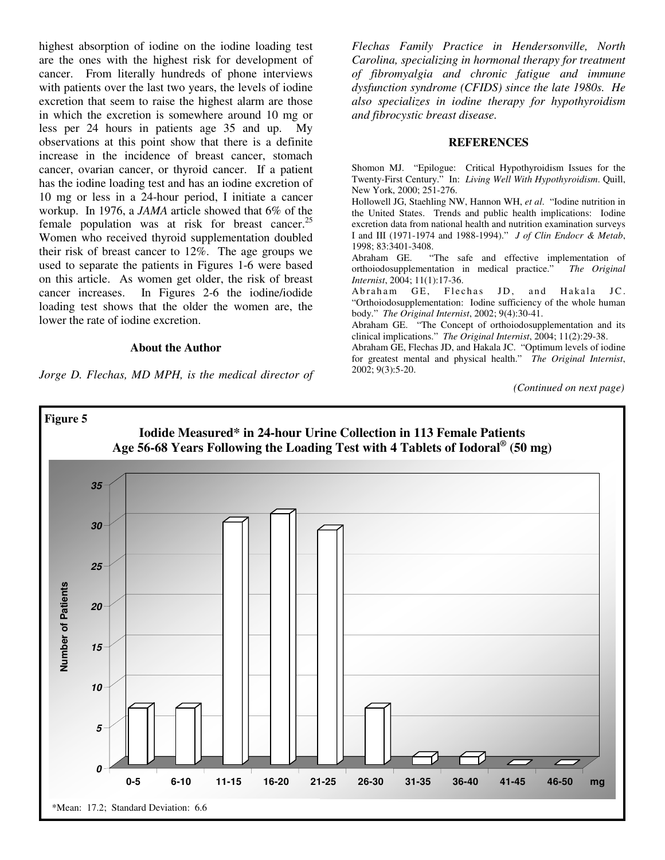highest absorption of iodine on the iodine loading test are the ones with the highest risk for development of cancer. From literally hundreds of phone interviews with patients over the last two years, the levels of iodine excretion that seem to raise the highest alarm are those in which the excretion is somewhere around 10 mg or less per 24 hours in patients age 35 and up. My observations at this point show that there is a definite increase in the incidence of breast cancer, stomach cancer, ovarian cancer, or thyroid cancer. If a patient has the iodine loading test and has an iodine excretion of 10 mg or less in a 24-hour period, I initiate a cancer workup. In 1976, a *JAMA* article showed that 6% of the female population was at risk for breast cancer.<sup>25</sup> Women who received thyroid supplementation doubled their risk of breast cancer to 12%. The age groups we used to separate the patients in Figures 1-6 were based on this article. As women get older, the risk of breast cancer increases. In Figures 2-6 the iodine/iodide loading test shows that the older the women are, the lower the rate of iodine excretion.

## **About the Author**

*Jorge D. Flechas, MD MPH, is the medical director of* 

*Flechas Family Practice in Hendersonville, North Carolina, specializing in hormonal therapy for treatment of fibromyalgia and chronic fatigue and immune dysfunction syndrome (CFIDS) since the late 1980s. He also specializes in iodine therapy for hypothyroidism and fibrocystic breast disease.* 

## **REFERENCES**

Shomon MJ. "Epilogue: Critical Hypothyroidism Issues for the Twenty-First Century." In: *Living Well With Hypothyroidism*. Quill, New York, 2000; 251-276.

Hollowell JG, Staehling NW, Hannon WH, *et al*. "Iodine nutrition in the United States. Trends and public health implications: Iodine excretion data from national health and nutrition examination surveys I and III (1971-1974 and 1988-1994)." *J of Clin Endocr & Metab*, 1998; 83:3401-3408.

Abraham GE. "The safe and effective implementation of orthoiodosupplementation in medical practice." *The Original Internist*, 2004; 11(1):17-36.

Abraham GE, Flechas JD, and Hakala JC. "Orthoiodosupplementation: Iodine sufficiency of the whole human body." *The Original Internist*, 2002; 9(4):30-41.

Abraham GE. "The Concept of orthoiodosupplementation and its clinical implications." *The Original Internist*, 2004; 11(2):29-38.

Abraham GE, Flechas JD, and Hakala JC. "Optimum levels of iodine for greatest mental and physical health." *The Original Internist*, 2002; 9(3):5-20.

*(Continued on next page)*